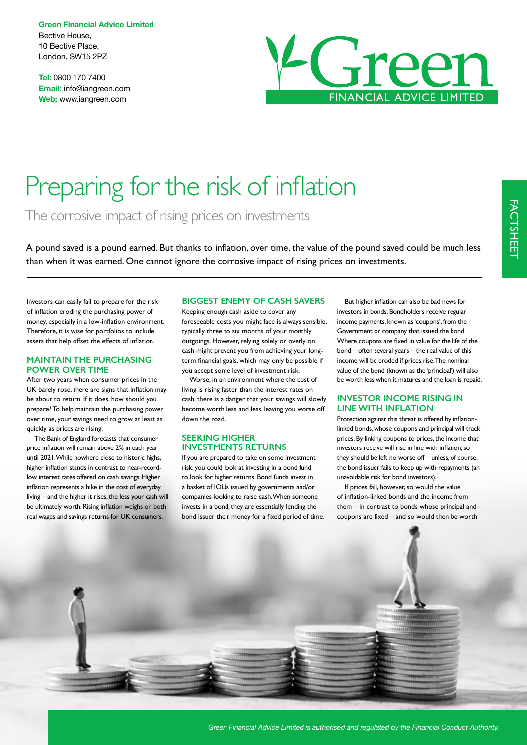**Green Financial Advice Limited** Bective House, 10 Bective Place, London, SW15 2PZ

**Tel:** 0800 170 7400 **Email:** info@iangreen.com **Web:** www.iangreen.com



# Preparing for the risk of inflation

The corrosive impact of rising prices on investments

A pound saved is a pound earned. But thanks to infation, over time, the value of the pound saved could be much less than when it was earned. One cannot ignore the corrosive impact of rising prices on investments.

Investors can easily fail to prepare for the risk of infation eroding the purchasing power of money, especially in a low-infation environment. Therefore, it is wise for portfolios to include assets that help offset the effects of infation.

#### **MAINTAIN THE PURCHASING POWER OVER TIME**

After two years when consumer prices in the UK barely rose, there are signs that inflation may be about to return. If it does, how should you prepare? To help maintain the purchasing power over time, your savings need to grow at least as quickly as prices are rising.

The Bank of England forecasts that consumer price infation will remain above 2% in each year until 2021. While nowhere close to historic highs, higher infation stands in contrast to near-recordlow interest rates offered on cash savings. Higher infation represents a hike in the cost of everyday living – and the higher it rises, the less your cash will be ultimately worth. Rising inflation weighs on both real wages and savings returns for UK consumers.

### **BIGGEST ENEMY OF CASH SAVERS**

Keeping enough cash aside to cover any foreseeable costs you might face is always sensible, typically three to six months of your monthly outgoings. However, relying solely or overly on cash might prevent you from achieving your longterm fnancial goals, which may only be possible if you accept some level of investment risk.

Worse, in an environment where the cost of living is rising faster than the interest rates on cash, there is a danger that your savings will slowly become worth less and less, leaving you worse off down the road.

#### **SEEKING HIGHER INVESTMENTS RETURNS**

If you are prepared to take on some investment risk, you could look at investing in a bond fund to look for higher returns. Bond funds invest in a basket of IOUs issued by governments and/or companies looking to raise cash. When someone invests in a bond, they are essentially lending the bond issuer their money for a fixed period of time.

But higher infation can also be bad news for investors in bonds. Bondholders receive regular income payments, known as 'coupons', from the Government or company that issued the bond. Where coupons are fxed in value for the life of the bond – often several years – the real value of this income will be eroded if prices rise. The nominal value of the bond (known as the 'principal') will also be worth less when it matures and the loan is repaid.

#### **INVESTOR INCOME RISING IN LINE WITH INFLATION**

Protection against this threat is offered by inflationlinked bonds, whose coupons and principal will track prices. By linking coupons to prices, the income that investors receive will rise in line with infation, so they should be left no worse off – unless, of course, the bond issuer fails to keep up with repayments (an unavoidable risk for bond investors).

If prices fall, however, so would the value of infation-linked bonds and the income from them – in contrast to bonds whose principal and coupons are fxed – and so would then be worth